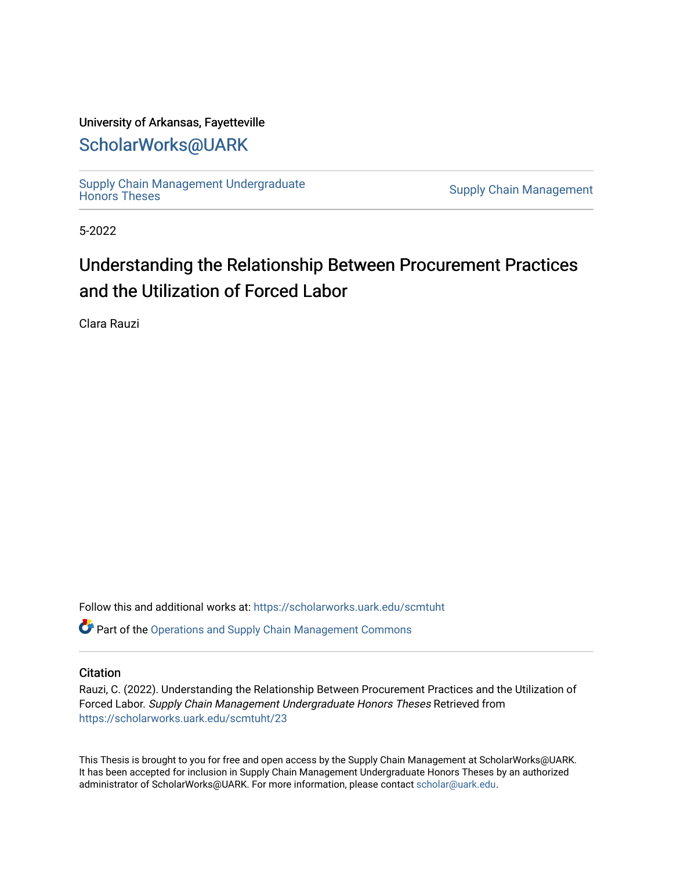## University of Arkansas, Fayetteville

## [ScholarWorks@UARK](https://scholarworks.uark.edu/)

Supply Chain Management Undergraduate<br>Honors Theses

**Supply Chain Management** 

5-2022

# Understanding the Relationship Between Procurement Practices and the Utilization of Forced Labor

Clara Rauzi

Follow this and additional works at: [https://scholarworks.uark.edu/scmtuht](https://scholarworks.uark.edu/scmtuht?utm_source=scholarworks.uark.edu%2Fscmtuht%2F23&utm_medium=PDF&utm_campaign=PDFCoverPages) 

**P** Part of the Operations and Supply Chain Management Commons

#### **Citation**

Rauzi, C. (2022). Understanding the Relationship Between Procurement Practices and the Utilization of Forced Labor. Supply Chain Management Undergraduate Honors Theses Retrieved from [https://scholarworks.uark.edu/scmtuht/23](https://scholarworks.uark.edu/scmtuht/23?utm_source=scholarworks.uark.edu%2Fscmtuht%2F23&utm_medium=PDF&utm_campaign=PDFCoverPages)

This Thesis is brought to you for free and open access by the Supply Chain Management at ScholarWorks@UARK. It has been accepted for inclusion in Supply Chain Management Undergraduate Honors Theses by an authorized administrator of ScholarWorks@UARK. For more information, please contact [scholar@uark.edu](mailto:scholar@uark.edu).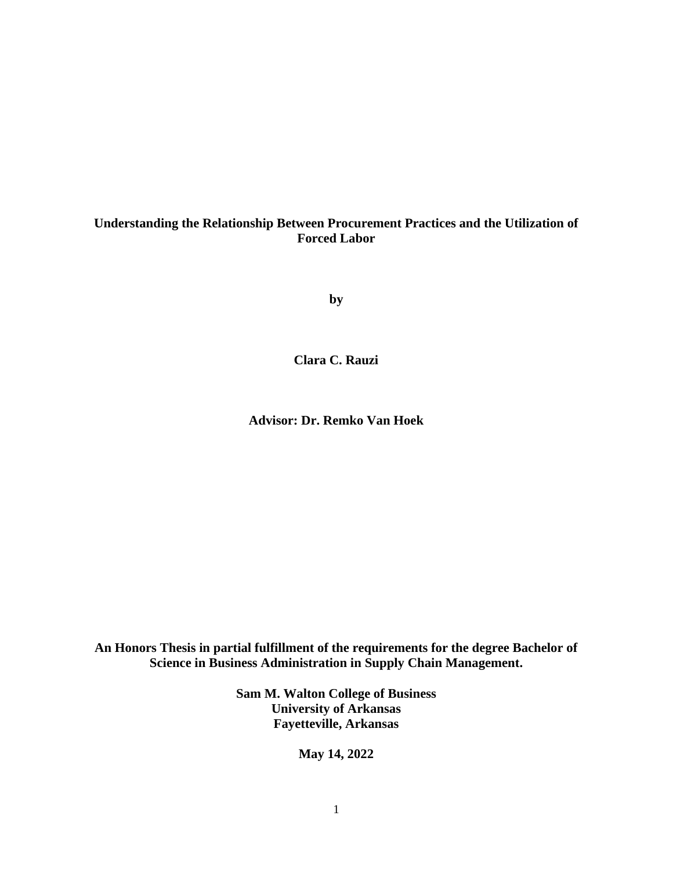## **Understanding the Relationship Between Procurement Practices and the Utilization of Forced Labor**

**by**

**Clara C. Rauzi**

**Advisor: Dr. Remko Van Hoek**

**An Honors Thesis in partial fulfillment of the requirements for the degree Bachelor of Science in Business Administration in Supply Chain Management.**

> **Sam M. Walton College of Business University of Arkansas Fayetteville, Arkansas**

> > **May 14, 2022**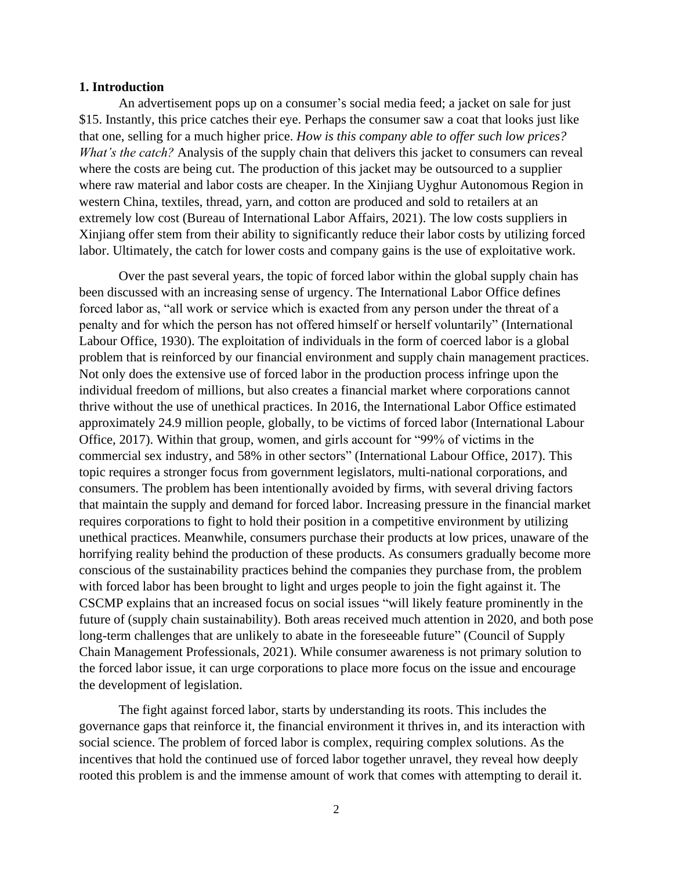#### **1. Introduction**

An advertisement pops up on a consumer's social media feed; a jacket on sale for just \$15. Instantly, this price catches their eye. Perhaps the consumer saw a coat that looks just like that one, selling for a much higher price. *How is this company able to offer such low prices? What's the catch?* Analysis of the supply chain that delivers this jacket to consumers can reveal where the costs are being cut. The production of this jacket may be outsourced to a supplier where raw material and labor costs are cheaper. In the Xinjiang Uyghur Autonomous Region in western China, textiles, thread, yarn, and cotton are produced and sold to retailers at an extremely low cost (Bureau of International Labor Affairs, 2021). The low costs suppliers in Xinjiang offer stem from their ability to significantly reduce their labor costs by utilizing forced labor. Ultimately, the catch for lower costs and company gains is the use of exploitative work.

Over the past several years, the topic of forced labor within the global supply chain has been discussed with an increasing sense of urgency. The International Labor Office defines forced labor as, "all work or service which is exacted from any person under the threat of a penalty and for which the person has not offered himself or herself voluntarily" (International Labour Office, 1930). The exploitation of individuals in the form of coerced labor is a global problem that is reinforced by our financial environment and supply chain management practices. Not only does the extensive use of forced labor in the production process infringe upon the individual freedom of millions, but also creates a financial market where corporations cannot thrive without the use of unethical practices. In 2016, the International Labor Office estimated approximately 24.9 million people, globally, to be victims of forced labor (International Labour Office, 2017). Within that group, women, and girls account for "99% of victims in the commercial sex industry, and 58% in other sectors" (International Labour Office, 2017). This topic requires a stronger focus from government legislators, multi-national corporations, and consumers. The problem has been intentionally avoided by firms, with several driving factors that maintain the supply and demand for forced labor. Increasing pressure in the financial market requires corporations to fight to hold their position in a competitive environment by utilizing unethical practices. Meanwhile, consumers purchase their products at low prices, unaware of the horrifying reality behind the production of these products. As consumers gradually become more conscious of the sustainability practices behind the companies they purchase from, the problem with forced labor has been brought to light and urges people to join the fight against it. The CSCMP explains that an increased focus on social issues "will likely feature prominently in the future of (supply chain sustainability). Both areas received much attention in 2020, and both pose long-term challenges that are unlikely to abate in the foreseeable future" (Council of Supply Chain Management Professionals, 2021). While consumer awareness is not primary solution to the forced labor issue, it can urge corporations to place more focus on the issue and encourage the development of legislation.

The fight against forced labor, starts by understanding its roots. This includes the governance gaps that reinforce it, the financial environment it thrives in, and its interaction with social science. The problem of forced labor is complex, requiring complex solutions. As the incentives that hold the continued use of forced labor together unravel, they reveal how deeply rooted this problem is and the immense amount of work that comes with attempting to derail it.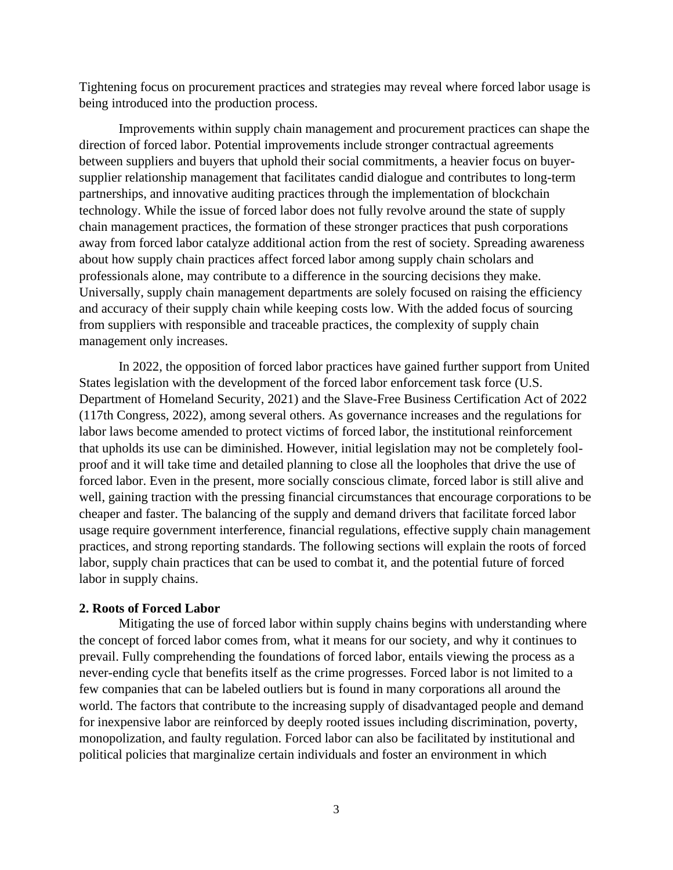Tightening focus on procurement practices and strategies may reveal where forced labor usage is being introduced into the production process.

Improvements within supply chain management and procurement practices can shape the direction of forced labor. Potential improvements include stronger contractual agreements between suppliers and buyers that uphold their social commitments, a heavier focus on buyersupplier relationship management that facilitates candid dialogue and contributes to long-term partnerships, and innovative auditing practices through the implementation of blockchain technology. While the issue of forced labor does not fully revolve around the state of supply chain management practices, the formation of these stronger practices that push corporations away from forced labor catalyze additional action from the rest of society. Spreading awareness about how supply chain practices affect forced labor among supply chain scholars and professionals alone, may contribute to a difference in the sourcing decisions they make. Universally, supply chain management departments are solely focused on raising the efficiency and accuracy of their supply chain while keeping costs low. With the added focus of sourcing from suppliers with responsible and traceable practices, the complexity of supply chain management only increases.

In 2022, the opposition of forced labor practices have gained further support from United States legislation with the development of the forced labor enforcement task force (U.S. Department of Homeland Security, 2021) and the Slave-Free Business Certification Act of 2022 (117th Congress, 2022), among several others. As governance increases and the regulations for labor laws become amended to protect victims of forced labor, the institutional reinforcement that upholds its use can be diminished. However, initial legislation may not be completely foolproof and it will take time and detailed planning to close all the loopholes that drive the use of forced labor. Even in the present, more socially conscious climate, forced labor is still alive and well, gaining traction with the pressing financial circumstances that encourage corporations to be cheaper and faster. The balancing of the supply and demand drivers that facilitate forced labor usage require government interference, financial regulations, effective supply chain management practices, and strong reporting standards. The following sections will explain the roots of forced labor, supply chain practices that can be used to combat it, and the potential future of forced labor in supply chains.

#### **2. Roots of Forced Labor**

Mitigating the use of forced labor within supply chains begins with understanding where the concept of forced labor comes from, what it means for our society, and why it continues to prevail. Fully comprehending the foundations of forced labor, entails viewing the process as a never-ending cycle that benefits itself as the crime progresses. Forced labor is not limited to a few companies that can be labeled outliers but is found in many corporations all around the world. The factors that contribute to the increasing supply of disadvantaged people and demand for inexpensive labor are reinforced by deeply rooted issues including discrimination, poverty, monopolization, and faulty regulation. Forced labor can also be facilitated by institutional and political policies that marginalize certain individuals and foster an environment in which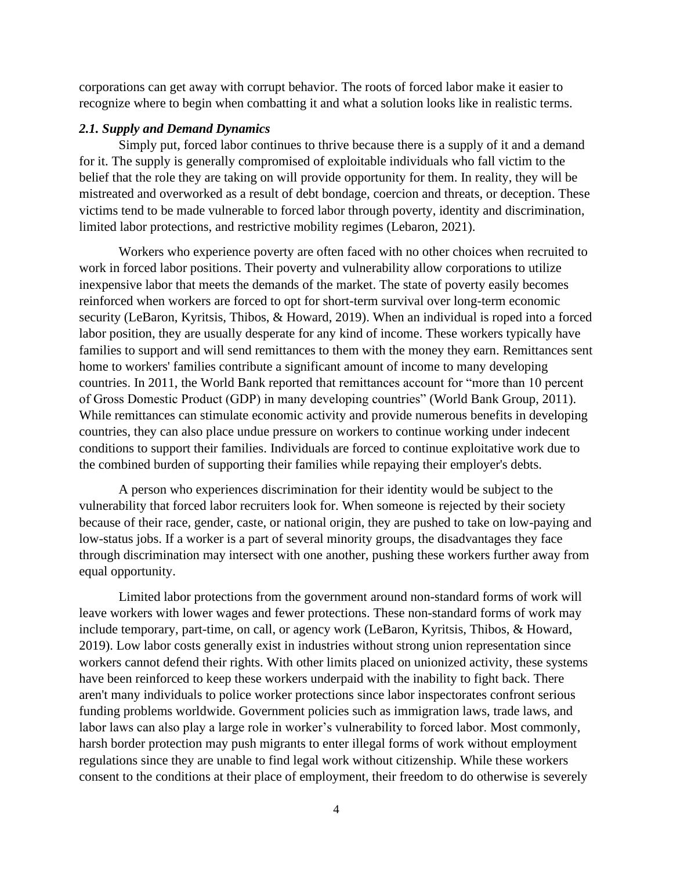corporations can get away with corrupt behavior. The roots of forced labor make it easier to recognize where to begin when combatting it and what a solution looks like in realistic terms.

#### *2.1. Supply and Demand Dynamics*

Simply put, forced labor continues to thrive because there is a supply of it and a demand for it. The supply is generally compromised of exploitable individuals who fall victim to the belief that the role they are taking on will provide opportunity for them. In reality, they will be mistreated and overworked as a result of debt bondage, coercion and threats, or deception. These victims tend to be made vulnerable to forced labor through poverty, identity and discrimination, limited labor protections, and restrictive mobility regimes (Lebaron, 2021).

Workers who experience poverty are often faced with no other choices when recruited to work in forced labor positions. Their poverty and vulnerability allow corporations to utilize inexpensive labor that meets the demands of the market. The state of poverty easily becomes reinforced when workers are forced to opt for short-term survival over long-term economic security (LeBaron, Kyritsis, Thibos, & Howard, 2019). When an individual is roped into a forced labor position, they are usually desperate for any kind of income. These workers typically have families to support and will send remittances to them with the money they earn. Remittances sent home to workers' families contribute a significant amount of income to many developing countries. In 2011, the World Bank reported that remittances account for "more than 10 percent of Gross Domestic Product (GDP) in many developing countries" (World Bank Group, 2011). While remittances can stimulate economic activity and provide numerous benefits in developing countries, they can also place undue pressure on workers to continue working under indecent conditions to support their families. Individuals are forced to continue exploitative work due to the combined burden of supporting their families while repaying their employer's debts.

A person who experiences discrimination for their identity would be subject to the vulnerability that forced labor recruiters look for. When someone is rejected by their society because of their race, gender, caste, or national origin, they are pushed to take on low-paying and low-status jobs. If a worker is a part of several minority groups, the disadvantages they face through discrimination may intersect with one another, pushing these workers further away from equal opportunity.

Limited labor protections from the government around non-standard forms of work will leave workers with lower wages and fewer protections. These non-standard forms of work may include temporary, part-time, on call, or agency work (LeBaron, Kyritsis, Thibos, & Howard, 2019). Low labor costs generally exist in industries without strong union representation since workers cannot defend their rights. With other limits placed on unionized activity, these systems have been reinforced to keep these workers underpaid with the inability to fight back. There aren't many individuals to police worker protections since labor inspectorates confront serious funding problems worldwide. Government policies such as immigration laws, trade laws, and labor laws can also play a large role in worker's vulnerability to forced labor. Most commonly, harsh border protection may push migrants to enter illegal forms of work without employment regulations since they are unable to find legal work without citizenship. While these workers consent to the conditions at their place of employment, their freedom to do otherwise is severely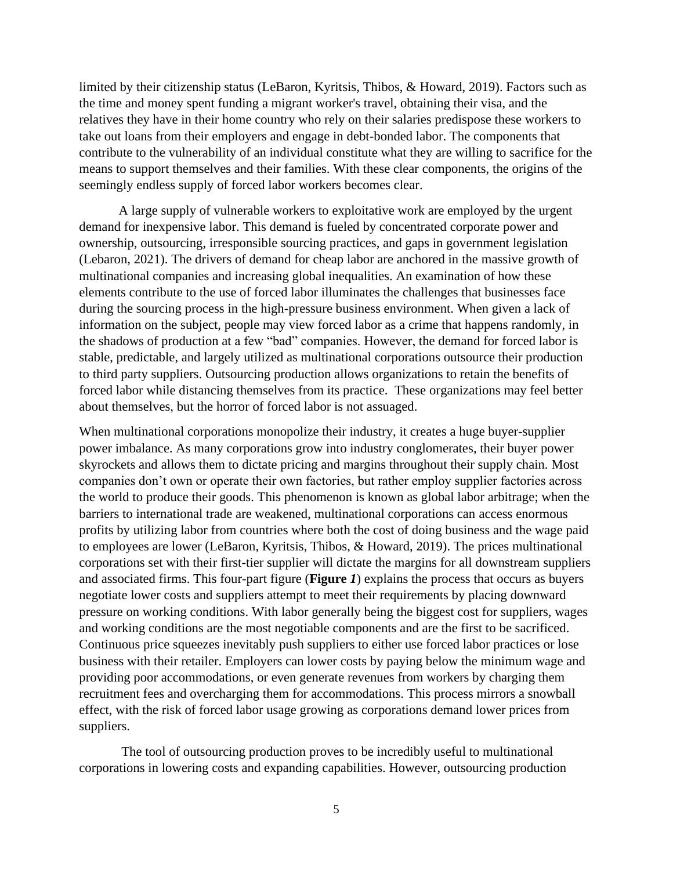limited by their citizenship status (LeBaron, Kyritsis, Thibos, & Howard, 2019). Factors such as the time and money spent funding a migrant worker's travel, obtaining their visa, and the relatives they have in their home country who rely on their salaries predispose these workers to take out loans from their employers and engage in debt-bonded labor. The components that contribute to the vulnerability of an individual constitute what they are willing to sacrifice for the means to support themselves and their families. With these clear components, the origins of the seemingly endless supply of forced labor workers becomes clear.

A large supply of vulnerable workers to exploitative work are employed by the urgent demand for inexpensive labor. This demand is fueled by concentrated corporate power and ownership, outsourcing, irresponsible sourcing practices, and gaps in government legislation (Lebaron, 2021). The drivers of demand for cheap labor are anchored in the massive growth of multinational companies and increasing global inequalities. An examination of how these elements contribute to the use of forced labor illuminates the challenges that businesses face during the sourcing process in the high-pressure business environment. When given a lack of information on the subject, people may view forced labor as a crime that happens randomly, in the shadows of production at a few "bad" companies. However, the demand for forced labor is stable, predictable, and largely utilized as multinational corporations outsource their production to third party suppliers. Outsourcing production allows organizations to retain the benefits of forced labor while distancing themselves from its practice. These organizations may feel better about themselves, but the horror of forced labor is not assuaged.

When multinational corporations monopolize their industry, it creates a huge buyer-supplier power imbalance. As many corporations grow into industry conglomerates, their buyer power skyrockets and allows them to dictate pricing and margins throughout their supply chain. Most companies don't own or operate their own factories, but rather employ supplier factories across the world to produce their goods. This phenomenon is known as global labor arbitrage; when the barriers to international trade are weakened, multinational corporations can access enormous profits by utilizing labor from countries where both the cost of doing business and the wage paid to employees are lower (LeBaron, Kyritsis, Thibos, & Howard, 2019). The prices multinational corporations set with their first-tier supplier will dictate the margins for all downstream suppliers and associated firms. This four-part figure (**[Figure](#page-6-0)** *1*) explains the process that occurs as buyers negotiate lower costs and suppliers attempt to meet their requirements by placing downward pressure on working conditions. With labor generally being the biggest cost for suppliers, wages and working conditions are the most negotiable components and are the first to be sacrificed. Continuous price squeezes inevitably push suppliers to either use forced labor practices or lose business with their retailer. Employers can lower costs by paying below the minimum wage and providing poor accommodations, or even generate revenues from workers by charging them recruitment fees and overcharging them for accommodations. This process mirrors a snowball effect, with the risk of forced labor usage growing as corporations demand lower prices from suppliers.

The tool of outsourcing production proves to be incredibly useful to multinational corporations in lowering costs and expanding capabilities. However, outsourcing production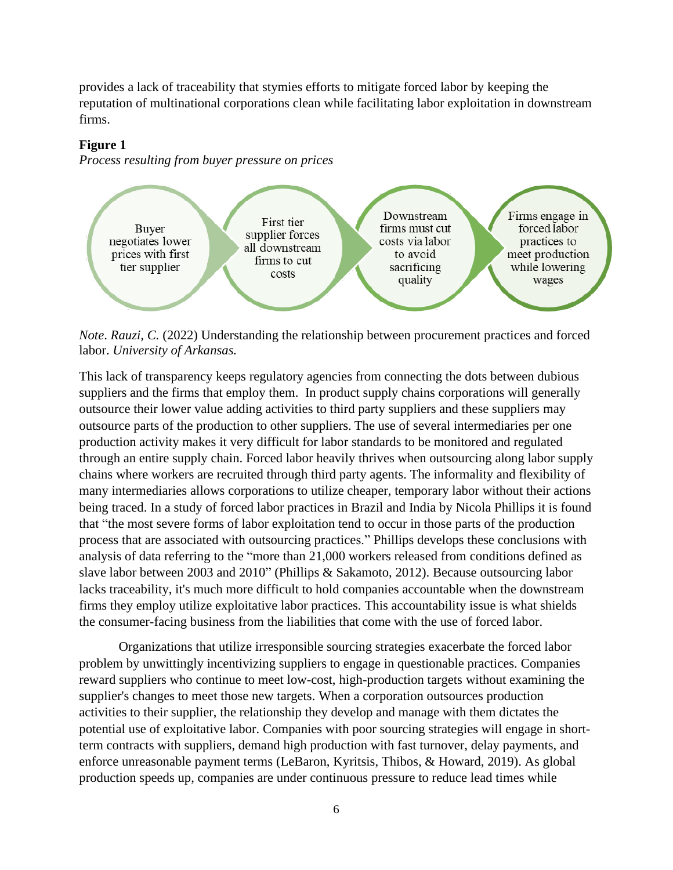provides a lack of traceability that stymies efforts to mitigate forced labor by keeping the reputation of multinational corporations clean while facilitating labor exploitation in downstream firms.

## <span id="page-6-0"></span>**Figure 1**

*Process resulting from buyer pressure on prices*



*Note*. *Rauzi, C.* (2022) Understanding the relationship between procurement practices and forced labor. *University of Arkansas.* 

This lack of transparency keeps regulatory agencies from connecting the dots between dubious suppliers and the firms that employ them. In product supply chains corporations will generally outsource their lower value adding activities to third party suppliers and these suppliers may outsource parts of the production to other suppliers. The use of several intermediaries per one production activity makes it very difficult for labor standards to be monitored and regulated through an entire supply chain. Forced labor heavily thrives when outsourcing along labor supply chains where workers are recruited through third party agents. The informality and flexibility of many intermediaries allows corporations to utilize cheaper, temporary labor without their actions being traced. In a study of forced labor practices in Brazil and India by Nicola Phillips it is found that "the most severe forms of labor exploitation tend to occur in those parts of the production process that are associated with outsourcing practices." Phillips develops these conclusions with analysis of data referring to the "more than 21,000 workers released from conditions defined as slave labor between 2003 and 2010" (Phillips & Sakamoto, 2012). Because outsourcing labor lacks traceability, it's much more difficult to hold companies accountable when the downstream firms they employ utilize exploitative labor practices. This accountability issue is what shields the consumer-facing business from the liabilities that come with the use of forced labor.

Organizations that utilize irresponsible sourcing strategies exacerbate the forced labor problem by unwittingly incentivizing suppliers to engage in questionable practices. Companies reward suppliers who continue to meet low-cost, high-production targets without examining the supplier's changes to meet those new targets. When a corporation outsources production activities to their supplier, the relationship they develop and manage with them dictates the potential use of exploitative labor. Companies with poor sourcing strategies will engage in shortterm contracts with suppliers, demand high production with fast turnover, delay payments, and enforce unreasonable payment terms (LeBaron, Kyritsis, Thibos, & Howard, 2019). As global production speeds up, companies are under continuous pressure to reduce lead times while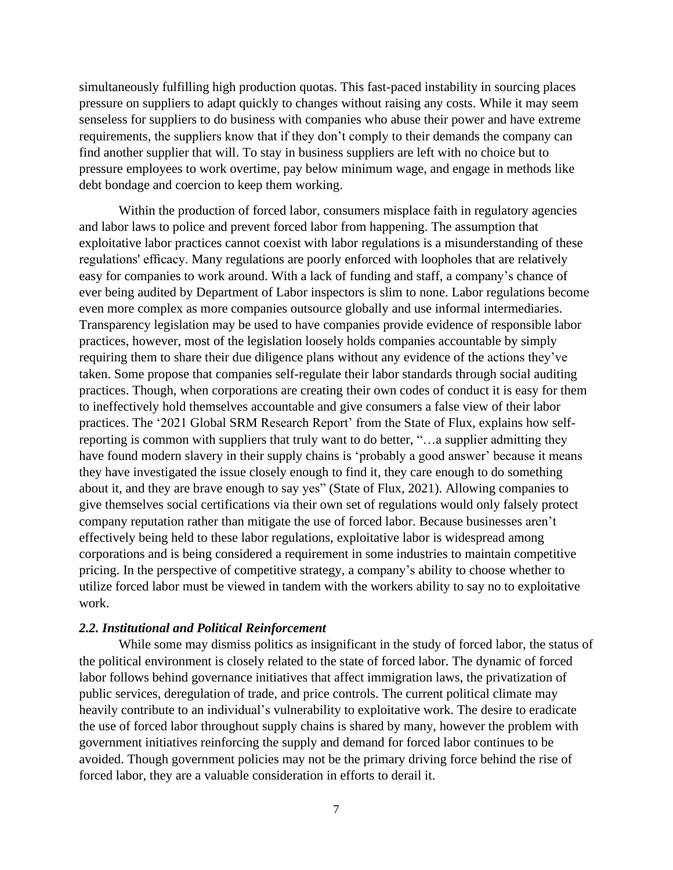simultaneously fulfilling high production quotas. This fast-paced instability in sourcing places pressure on suppliers to adapt quickly to changes without raising any costs. While it may seem senseless for suppliers to do business with companies who abuse their power and have extreme requirements, the suppliers know that if they don't comply to their demands the company can find another supplier that will. To stay in business suppliers are left with no choice but to pressure employees to work overtime, pay below minimum wage, and engage in methods like debt bondage and coercion to keep them working.

Within the production of forced labor, consumers misplace faith in regulatory agencies and labor laws to police and prevent forced labor from happening. The assumption that exploitative labor practices cannot coexist with labor regulations is a misunderstanding of these regulations' efficacy. Many regulations are poorly enforced with loopholes that are relatively easy for companies to work around. With a lack of funding and staff, a company's chance of ever being audited by Department of Labor inspectors is slim to none. Labor regulations become even more complex as more companies outsource globally and use informal intermediaries. Transparency legislation may be used to have companies provide evidence of responsible labor practices, however, most of the legislation loosely holds companies accountable by simply requiring them to share their due diligence plans without any evidence of the actions they've taken. Some propose that companies self-regulate their labor standards through social auditing practices. Though, when corporations are creating their own codes of conduct it is easy for them to ineffectively hold themselves accountable and give consumers a false view of their labor practices. The '2021 Global SRM Research Report' from the State of Flux, explains how selfreporting is common with suppliers that truly want to do better, "…a supplier admitting they have found modern slavery in their supply chains is 'probably a good answer' because it means they have investigated the issue closely enough to find it, they care enough to do something about it, and they are brave enough to say yes" (State of Flux, 2021). Allowing companies to give themselves social certifications via their own set of regulations would only falsely protect company reputation rather than mitigate the use of forced labor. Because businesses aren't effectively being held to these labor regulations, exploitative labor is widespread among corporations and is being considered a requirement in some industries to maintain competitive pricing. In the perspective of competitive strategy, a company's ability to choose whether to utilize forced labor must be viewed in tandem with the workers ability to say no to exploitative work.

### *2.2. Institutional and Political Reinforcement*

While some may dismiss politics as insignificant in the study of forced labor, the status of the political environment is closely related to the state of forced labor. The dynamic of forced labor follows behind governance initiatives that affect immigration laws, the privatization of public services, deregulation of trade, and price controls. The current political climate may heavily contribute to an individual's vulnerability to exploitative work. The desire to eradicate the use of forced labor throughout supply chains is shared by many, however the problem with government initiatives reinforcing the supply and demand for forced labor continues to be avoided. Though government policies may not be the primary driving force behind the rise of forced labor, they are a valuable consideration in efforts to derail it.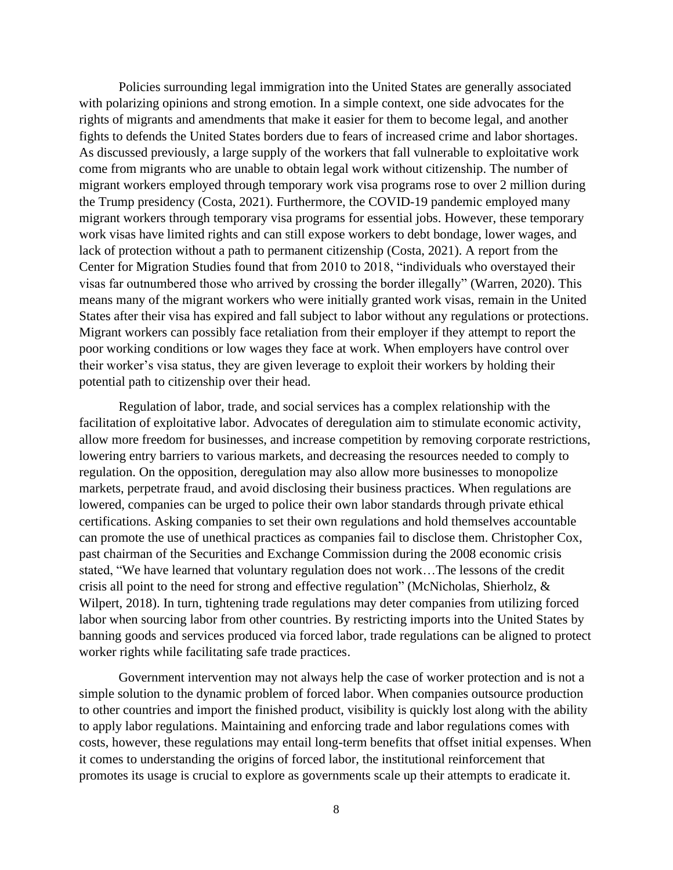Policies surrounding legal immigration into the United States are generally associated with polarizing opinions and strong emotion. In a simple context, one side advocates for the rights of migrants and amendments that make it easier for them to become legal, and another fights to defends the United States borders due to fears of increased crime and labor shortages. As discussed previously, a large supply of the workers that fall vulnerable to exploitative work come from migrants who are unable to obtain legal work without citizenship. The number of migrant workers employed through temporary work visa programs rose to over 2 million during the Trump presidency (Costa, 2021). Furthermore, the COVID-19 pandemic employed many migrant workers through temporary visa programs for essential jobs. However, these temporary work visas have limited rights and can still expose workers to debt bondage, lower wages, and lack of protection without a path to permanent citizenship (Costa, 2021). A report from the Center for Migration Studies found that from 2010 to 2018, "individuals who overstayed their visas far outnumbered those who arrived by crossing the border illegally" (Warren, 2020). This means many of the migrant workers who were initially granted work visas, remain in the United States after their visa has expired and fall subject to labor without any regulations or protections. Migrant workers can possibly face retaliation from their employer if they attempt to report the poor working conditions or low wages they face at work. When employers have control over their worker's visa status, they are given leverage to exploit their workers by holding their potential path to citizenship over their head.

Regulation of labor, trade, and social services has a complex relationship with the facilitation of exploitative labor. Advocates of deregulation aim to stimulate economic activity, allow more freedom for businesses, and increase competition by removing corporate restrictions, lowering entry barriers to various markets, and decreasing the resources needed to comply to regulation. On the opposition, deregulation may also allow more businesses to monopolize markets, perpetrate fraud, and avoid disclosing their business practices. When regulations are lowered, companies can be urged to police their own labor standards through private ethical certifications. Asking companies to set their own regulations and hold themselves accountable can promote the use of unethical practices as companies fail to disclose them. Christopher Cox, past chairman of the Securities and Exchange Commission during the 2008 economic crisis stated, "We have learned that voluntary regulation does not work…The lessons of the credit crisis all point to the need for strong and effective regulation" (McNicholas, Shierholz, & Wilpert, 2018). In turn, tightening trade regulations may deter companies from utilizing forced labor when sourcing labor from other countries. By restricting imports into the United States by banning goods and services produced via forced labor, trade regulations can be aligned to protect worker rights while facilitating safe trade practices.

Government intervention may not always help the case of worker protection and is not a simple solution to the dynamic problem of forced labor. When companies outsource production to other countries and import the finished product, visibility is quickly lost along with the ability to apply labor regulations. Maintaining and enforcing trade and labor regulations comes with costs, however, these regulations may entail long-term benefits that offset initial expenses. When it comes to understanding the origins of forced labor, the institutional reinforcement that promotes its usage is crucial to explore as governments scale up their attempts to eradicate it.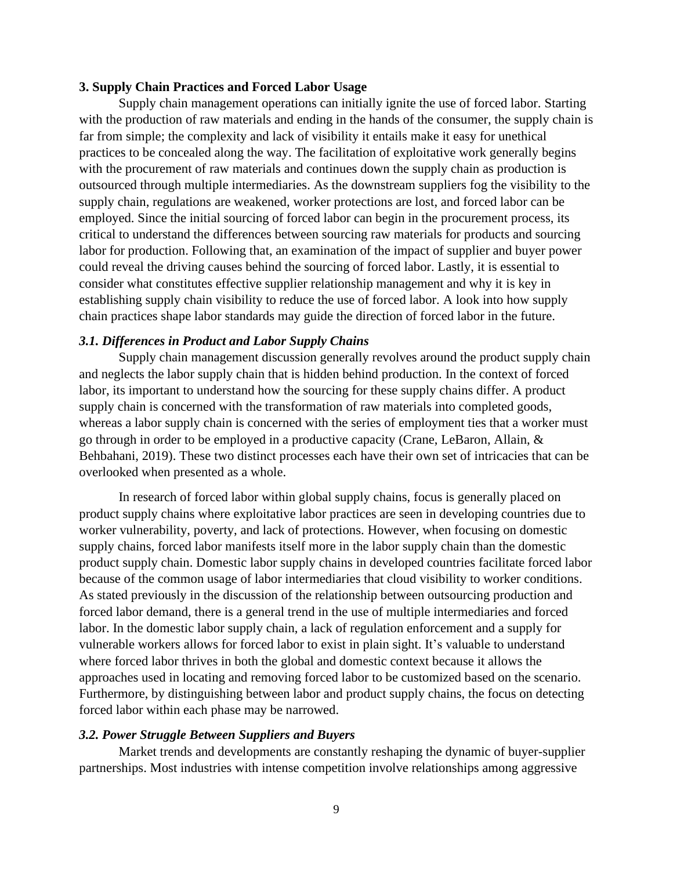#### **3. Supply Chain Practices and Forced Labor Usage**

Supply chain management operations can initially ignite the use of forced labor. Starting with the production of raw materials and ending in the hands of the consumer, the supply chain is far from simple; the complexity and lack of visibility it entails make it easy for unethical practices to be concealed along the way. The facilitation of exploitative work generally begins with the procurement of raw materials and continues down the supply chain as production is outsourced through multiple intermediaries. As the downstream suppliers fog the visibility to the supply chain, regulations are weakened, worker protections are lost, and forced labor can be employed. Since the initial sourcing of forced labor can begin in the procurement process, its critical to understand the differences between sourcing raw materials for products and sourcing labor for production. Following that, an examination of the impact of supplier and buyer power could reveal the driving causes behind the sourcing of forced labor. Lastly, it is essential to consider what constitutes effective supplier relationship management and why it is key in establishing supply chain visibility to reduce the use of forced labor. A look into how supply chain practices shape labor standards may guide the direction of forced labor in the future.

#### *3.1. Differences in Product and Labor Supply Chains*

Supply chain management discussion generally revolves around the product supply chain and neglects the labor supply chain that is hidden behind production. In the context of forced labor, its important to understand how the sourcing for these supply chains differ. A product supply chain is concerned with the transformation of raw materials into completed goods, whereas a labor supply chain is concerned with the series of employment ties that a worker must go through in order to be employed in a productive capacity (Crane, LeBaron, Allain, & Behbahani, 2019). These two distinct processes each have their own set of intricacies that can be overlooked when presented as a whole.

In research of forced labor within global supply chains, focus is generally placed on product supply chains where exploitative labor practices are seen in developing countries due to worker vulnerability, poverty, and lack of protections. However, when focusing on domestic supply chains, forced labor manifests itself more in the labor supply chain than the domestic product supply chain. Domestic labor supply chains in developed countries facilitate forced labor because of the common usage of labor intermediaries that cloud visibility to worker conditions. As stated previously in the discussion of the relationship between outsourcing production and forced labor demand, there is a general trend in the use of multiple intermediaries and forced labor. In the domestic labor supply chain, a lack of regulation enforcement and a supply for vulnerable workers allows for forced labor to exist in plain sight. It's valuable to understand where forced labor thrives in both the global and domestic context because it allows the approaches used in locating and removing forced labor to be customized based on the scenario. Furthermore, by distinguishing between labor and product supply chains, the focus on detecting forced labor within each phase may be narrowed.

#### *3.2. Power Struggle Between Suppliers and Buyers*

Market trends and developments are constantly reshaping the dynamic of buyer-supplier partnerships. Most industries with intense competition involve relationships among aggressive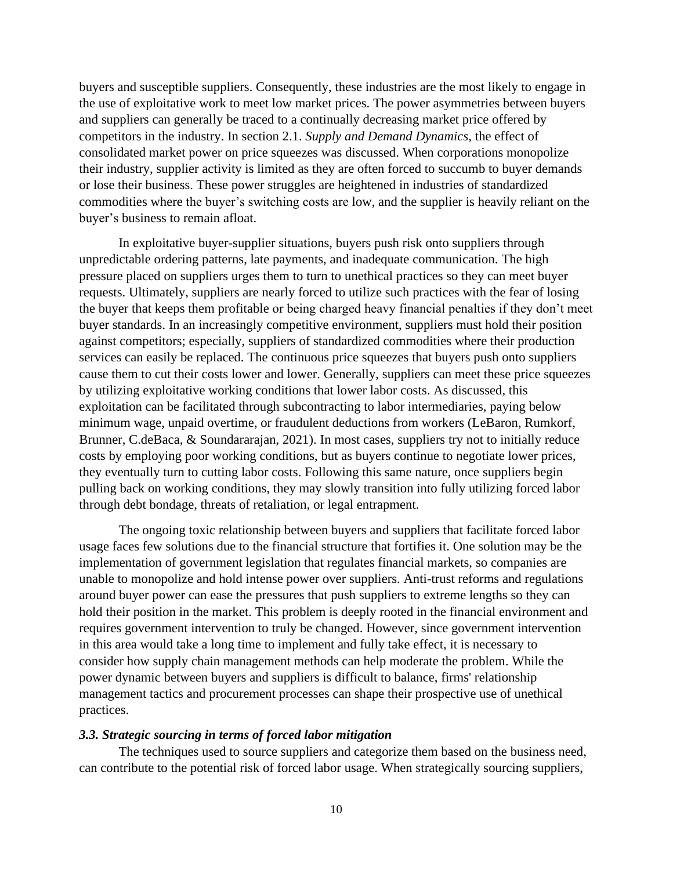buyers and susceptible suppliers. Consequently, these industries are the most likely to engage in the use of exploitative work to meet low market prices. The power asymmetries between buyers and suppliers can generally be traced to a continually decreasing market price offered by competitors in the industry. In section 2.1. *Supply and Demand Dynamics,* the effect of consolidated market power on price squeezes was discussed. When corporations monopolize their industry, supplier activity is limited as they are often forced to succumb to buyer demands or lose their business. These power struggles are heightened in industries of standardized commodities where the buyer's switching costs are low, and the supplier is heavily reliant on the buyer's business to remain afloat.

In exploitative buyer-supplier situations, buyers push risk onto suppliers through unpredictable ordering patterns, late payments, and inadequate communication. The high pressure placed on suppliers urges them to turn to unethical practices so they can meet buyer requests. Ultimately, suppliers are nearly forced to utilize such practices with the fear of losing the buyer that keeps them profitable or being charged heavy financial penalties if they don't meet buyer standards. In an increasingly competitive environment, suppliers must hold their position against competitors; especially, suppliers of standardized commodities where their production services can easily be replaced. The continuous price squeezes that buyers push onto suppliers cause them to cut their costs lower and lower. Generally, suppliers can meet these price squeezes by utilizing exploitative working conditions that lower labor costs. As discussed, this exploitation can be facilitated through subcontracting to labor intermediaries, paying below minimum wage, unpaid overtime, or fraudulent deductions from workers (LeBaron, Rumkorf, Brunner, C.deBaca, & Soundararajan, 2021). In most cases, suppliers try not to initially reduce costs by employing poor working conditions, but as buyers continue to negotiate lower prices, they eventually turn to cutting labor costs. Following this same nature, once suppliers begin pulling back on working conditions, they may slowly transition into fully utilizing forced labor through debt bondage, threats of retaliation, or legal entrapment.

The ongoing toxic relationship between buyers and suppliers that facilitate forced labor usage faces few solutions due to the financial structure that fortifies it. One solution may be the implementation of government legislation that regulates financial markets, so companies are unable to monopolize and hold intense power over suppliers. Anti-trust reforms and regulations around buyer power can ease the pressures that push suppliers to extreme lengths so they can hold their position in the market. This problem is deeply rooted in the financial environment and requires government intervention to truly be changed. However, since government intervention in this area would take a long time to implement and fully take effect, it is necessary to consider how supply chain management methods can help moderate the problem. While the power dynamic between buyers and suppliers is difficult to balance, firms' relationship management tactics and procurement processes can shape their prospective use of unethical practices.

#### *3.3. Strategic sourcing in terms of forced labor mitigation*

The techniques used to source suppliers and categorize them based on the business need, can contribute to the potential risk of forced labor usage. When strategically sourcing suppliers,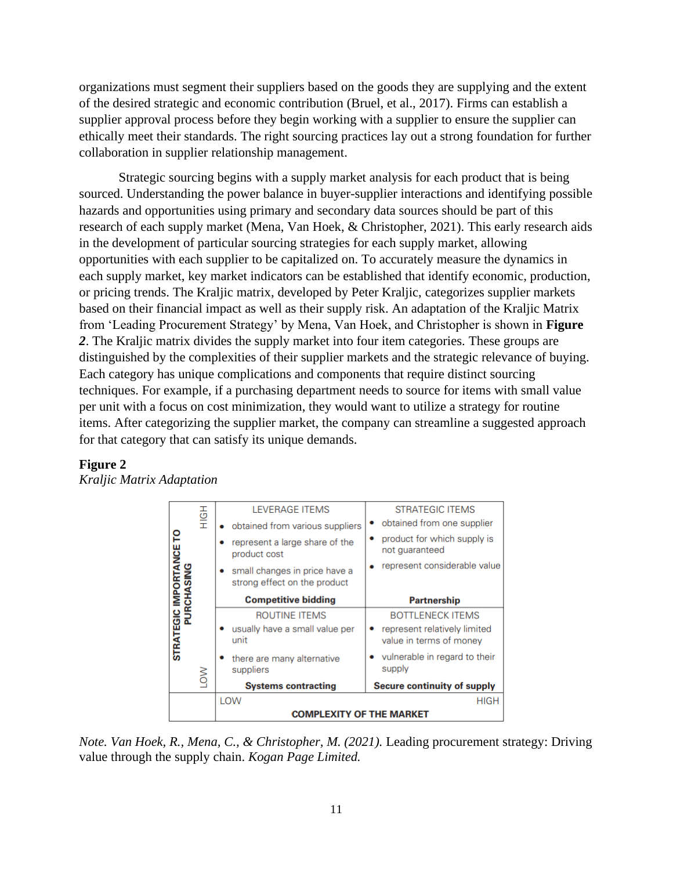organizations must segment their suppliers based on the goods they are supplying and the extent of the desired strategic and economic contribution (Bruel, et al., 2017). Firms can establish a supplier approval process before they begin working with a supplier to ensure the supplier can ethically meet their standards. The right sourcing practices lay out a strong foundation for further collaboration in supplier relationship management.

Strategic sourcing begins with a supply market analysis for each product that is being sourced. Understanding the power balance in buyer-supplier interactions and identifying possible hazards and opportunities using primary and secondary data sources should be part of this research of each supply market (Mena, Van Hoek, & Christopher, 2021). This early research aids in the development of particular sourcing strategies for each supply market, allowing opportunities with each supplier to be capitalized on. To accurately measure the dynamics in each supply market, key market indicators can be established that identify economic, production, or pricing trends. The Kraljic matrix, developed by Peter Kraljic, categorizes supplier markets based on their financial impact as well as their supply risk. An adaptation of the Kraljic Matrix from 'Leading Procurement Strategy' by Mena, Van Hoek, and Christopher is shown in **[Figure](#page-11-0)**  *[2](#page-11-0)*. The Kraljic matrix divides the supply market into four item categories. These groups are distinguished by the complexities of their supplier markets and the strategic relevance of buying. Each category has unique complications and components that require distinct sourcing techniques. For example, if a purchasing department needs to source for items with small value per unit with a focus on cost minimization, they would want to utilize a strategy for routine items. After categorizing the supplier market, the company can streamline a suggested approach for that category that can satisfy its unique demands.

| <b>TANCE TO</b><br><b>SING</b><br><b>IMPORT</b><br><b>CHA</b><br>n<br>E<br><b>STRATEGIC</b> | HOH | <b>LEVERAGE ITEMS</b>                                         | <b>STRATEGIC ITEMS</b>                                  |  |
|---------------------------------------------------------------------------------------------|-----|---------------------------------------------------------------|---------------------------------------------------------|--|
|                                                                                             |     | obtained from various suppliers                               | obtained from one supplier                              |  |
|                                                                                             |     | represent a large share of the<br>product cost                | product for which supply is<br>not quaranteed           |  |
|                                                                                             |     | small changes in price have a<br>strong effect on the product | represent considerable value                            |  |
|                                                                                             |     | <b>Competitive bidding</b>                                    | <b>Partnership</b>                                      |  |
|                                                                                             |     | ROUTINE ITEMS                                                 | <b>BOTTLENECK ITEMS</b>                                 |  |
|                                                                                             |     | usually have a small value per<br>unit                        | represent relatively limited<br>value in terms of money |  |
|                                                                                             |     | there are many alternative<br>suppliers                       | vulnerable in regard to their<br>supply                 |  |
|                                                                                             | š   | <b>Systems contracting</b>                                    | Secure continuity of supply                             |  |
|                                                                                             |     | LOW                                                           | <b>HIGH</b>                                             |  |
|                                                                                             |     | <b>COMPLEXITY OF THE MARKET</b>                               |                                                         |  |

#### <span id="page-11-0"></span>**Figure 2** *Kraljic Matrix Adaptation*

*Note. Van Hoek, R., Mena, C., & Christopher, M. (2021).* Leading procurement strategy: Driving value through the supply chain. *Kogan Page Limited.*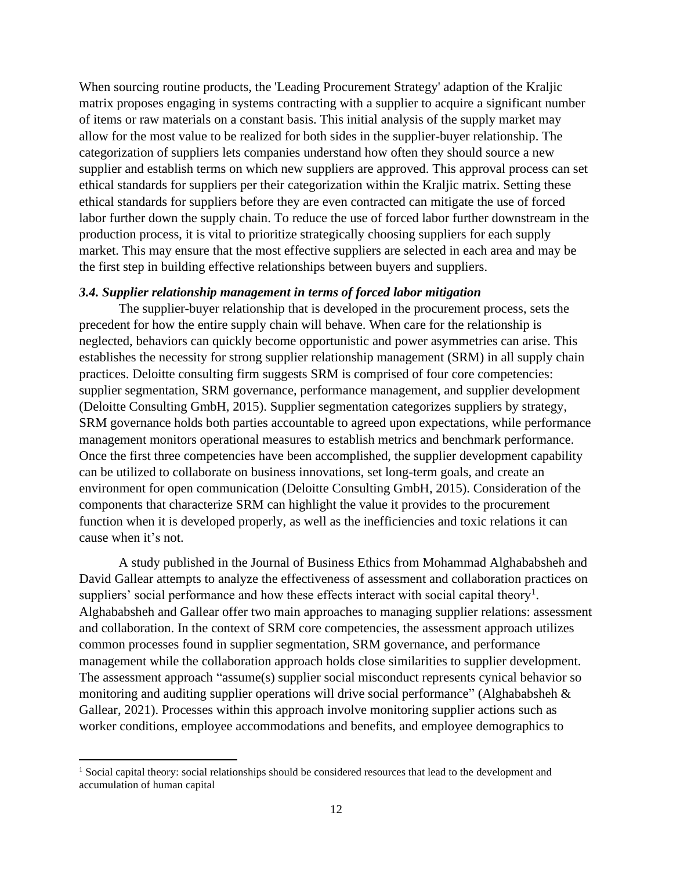When sourcing routine products, the 'Leading Procurement Strategy' adaption of the Kraljic matrix proposes engaging in systems contracting with a supplier to acquire a significant number of items or raw materials on a constant basis. This initial analysis of the supply market may allow for the most value to be realized for both sides in the supplier-buyer relationship. The categorization of suppliers lets companies understand how often they should source a new supplier and establish terms on which new suppliers are approved. This approval process can set ethical standards for suppliers per their categorization within the Kraljic matrix. Setting these ethical standards for suppliers before they are even contracted can mitigate the use of forced labor further down the supply chain. To reduce the use of forced labor further downstream in the production process, it is vital to prioritize strategically choosing suppliers for each supply market. This may ensure that the most effective suppliers are selected in each area and may be the first step in building effective relationships between buyers and suppliers.

#### *3.4. Supplier relationship management in terms of forced labor mitigation*

The supplier-buyer relationship that is developed in the procurement process, sets the precedent for how the entire supply chain will behave. When care for the relationship is neglected, behaviors can quickly become opportunistic and power asymmetries can arise. This establishes the necessity for strong supplier relationship management (SRM) in all supply chain practices. Deloitte consulting firm suggests SRM is comprised of four core competencies: supplier segmentation, SRM governance, performance management, and supplier development (Deloitte Consulting GmbH, 2015). Supplier segmentation categorizes suppliers by strategy, SRM governance holds both parties accountable to agreed upon expectations, while performance management monitors operational measures to establish metrics and benchmark performance. Once the first three competencies have been accomplished, the supplier development capability can be utilized to collaborate on business innovations, set long-term goals, and create an environment for open communication (Deloitte Consulting GmbH, 2015). Consideration of the components that characterize SRM can highlight the value it provides to the procurement function when it is developed properly, as well as the inefficiencies and toxic relations it can cause when it's not.

A study published in the Journal of Business Ethics from Mohammad Alghababsheh and David Gallear attempts to analyze the effectiveness of assessment and collaboration practices on suppliers' social performance and how these effects interact with social capital theory<sup>1</sup>. Alghababsheh and Gallear offer two main approaches to managing supplier relations: assessment and collaboration. In the context of SRM core competencies, the assessment approach utilizes common processes found in supplier segmentation, SRM governance, and performance management while the collaboration approach holds close similarities to supplier development. The assessment approach "assume(s) supplier social misconduct represents cynical behavior so monitoring and auditing supplier operations will drive social performance" (Alghababsheh & Gallear, 2021). Processes within this approach involve monitoring supplier actions such as worker conditions, employee accommodations and benefits, and employee demographics to

<sup>&</sup>lt;sup>1</sup> Social capital theory: social relationships should be considered resources that lead to the development and accumulation of human capital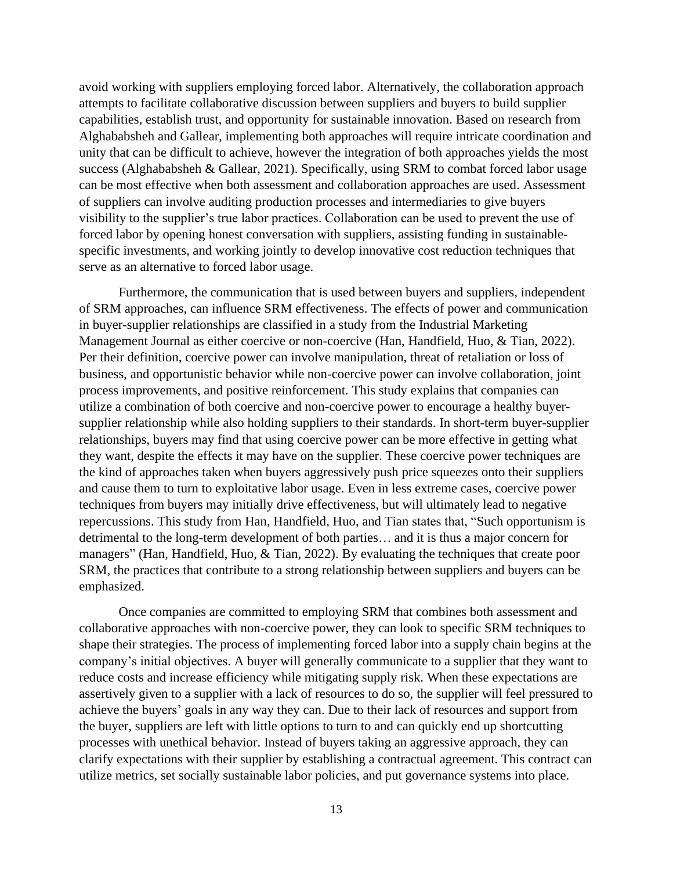avoid working with suppliers employing forced labor. Alternatively, the collaboration approach attempts to facilitate collaborative discussion between suppliers and buyers to build supplier capabilities, establish trust, and opportunity for sustainable innovation. Based on research from Alghababsheh and Gallear, implementing both approaches will require intricate coordination and unity that can be difficult to achieve, however the integration of both approaches yields the most success (Alghababsheh & Gallear, 2021). Specifically, using SRM to combat forced labor usage can be most effective when both assessment and collaboration approaches are used. Assessment of suppliers can involve auditing production processes and intermediaries to give buyers visibility to the supplier's true labor practices. Collaboration can be used to prevent the use of forced labor by opening honest conversation with suppliers, assisting funding in sustainablespecific investments, and working jointly to develop innovative cost reduction techniques that serve as an alternative to forced labor usage.

Furthermore, the communication that is used between buyers and suppliers, independent of SRM approaches, can influence SRM effectiveness. The effects of power and communication in buyer-supplier relationships are classified in a study from the Industrial Marketing Management Journal as either coercive or non-coercive (Han, Handfield, Huo, & Tian, 2022). Per their definition, coercive power can involve manipulation, threat of retaliation or loss of business, and opportunistic behavior while non-coercive power can involve collaboration, joint process improvements, and positive reinforcement. This study explains that companies can utilize a combination of both coercive and non-coercive power to encourage a healthy buyersupplier relationship while also holding suppliers to their standards. In short-term buyer-supplier relationships, buyers may find that using coercive power can be more effective in getting what they want, despite the effects it may have on the supplier. These coercive power techniques are the kind of approaches taken when buyers aggressively push price squeezes onto their suppliers and cause them to turn to exploitative labor usage. Even in less extreme cases, coercive power techniques from buyers may initially drive effectiveness, but will ultimately lead to negative repercussions. This study from Han, Handfield, Huo, and Tian states that, "Such opportunism is detrimental to the long-term development of both parties… and it is thus a major concern for managers" (Han, Handfield, Huo, & Tian, 2022). By evaluating the techniques that create poor SRM, the practices that contribute to a strong relationship between suppliers and buyers can be emphasized.

Once companies are committed to employing SRM that combines both assessment and collaborative approaches with non-coercive power, they can look to specific SRM techniques to shape their strategies. The process of implementing forced labor into a supply chain begins at the company's initial objectives. A buyer will generally communicate to a supplier that they want to reduce costs and increase efficiency while mitigating supply risk. When these expectations are assertively given to a supplier with a lack of resources to do so, the supplier will feel pressured to achieve the buyers' goals in any way they can. Due to their lack of resources and support from the buyer, suppliers are left with little options to turn to and can quickly end up shortcutting processes with unethical behavior. Instead of buyers taking an aggressive approach, they can clarify expectations with their supplier by establishing a contractual agreement. This contract can utilize metrics, set socially sustainable labor policies, and put governance systems into place.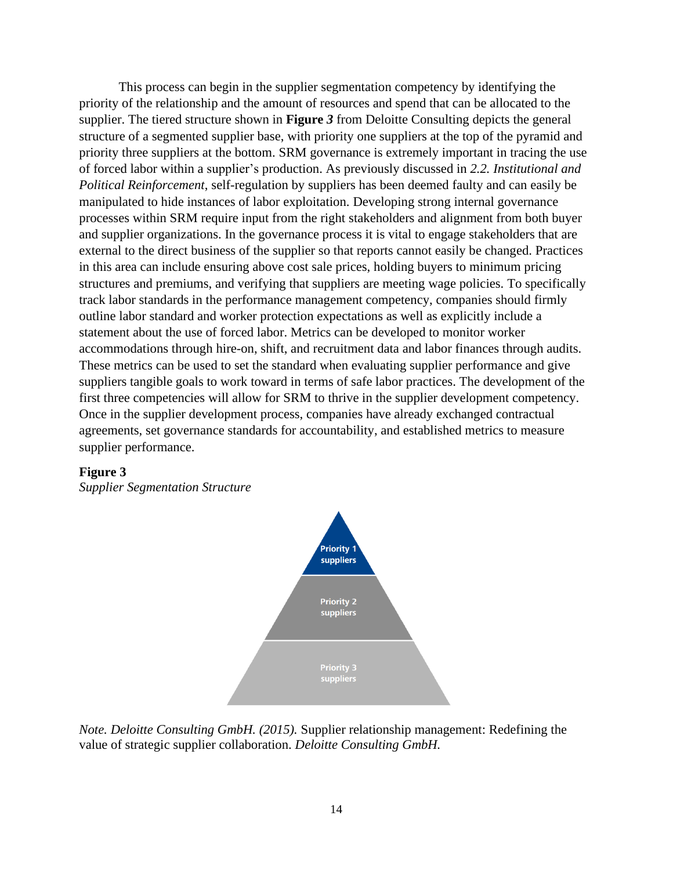This process can begin in the supplier segmentation competency by identifying the priority of the relationship and the amount of resources and spend that can be allocated to the supplier. The tiered structure shown in **[Figure](#page-14-0)** *3* from Deloitte Consulting depicts the general structure of a segmented supplier base, with priority one suppliers at the top of the pyramid and priority three suppliers at the bottom. SRM governance is extremely important in tracing the use of forced labor within a supplier's production. As previously discussed in *2.2. Institutional and Political Reinforcement*, self-regulation by suppliers has been deemed faulty and can easily be manipulated to hide instances of labor exploitation. Developing strong internal governance processes within SRM require input from the right stakeholders and alignment from both buyer and supplier organizations. In the governance process it is vital to engage stakeholders that are external to the direct business of the supplier so that reports cannot easily be changed. Practices in this area can include ensuring above cost sale prices, holding buyers to minimum pricing structures and premiums, and verifying that suppliers are meeting wage policies. To specifically track labor standards in the performance management competency, companies should firmly outline labor standard and worker protection expectations as well as explicitly include a statement about the use of forced labor. Metrics can be developed to monitor worker accommodations through hire-on, shift, and recruitment data and labor finances through audits. These metrics can be used to set the standard when evaluating supplier performance and give suppliers tangible goals to work toward in terms of safe labor practices. The development of the first three competencies will allow for SRM to thrive in the supplier development competency. Once in the supplier development process, companies have already exchanged contractual agreements, set governance standards for accountability, and established metrics to measure supplier performance.

#### <span id="page-14-0"></span>**Figure 3**

*Supplier Segmentation Structure*



*Note. Deloitte Consulting GmbH. (2015).* Supplier relationship management: Redefining the value of strategic supplier collaboration. *Deloitte Consulting GmbH.*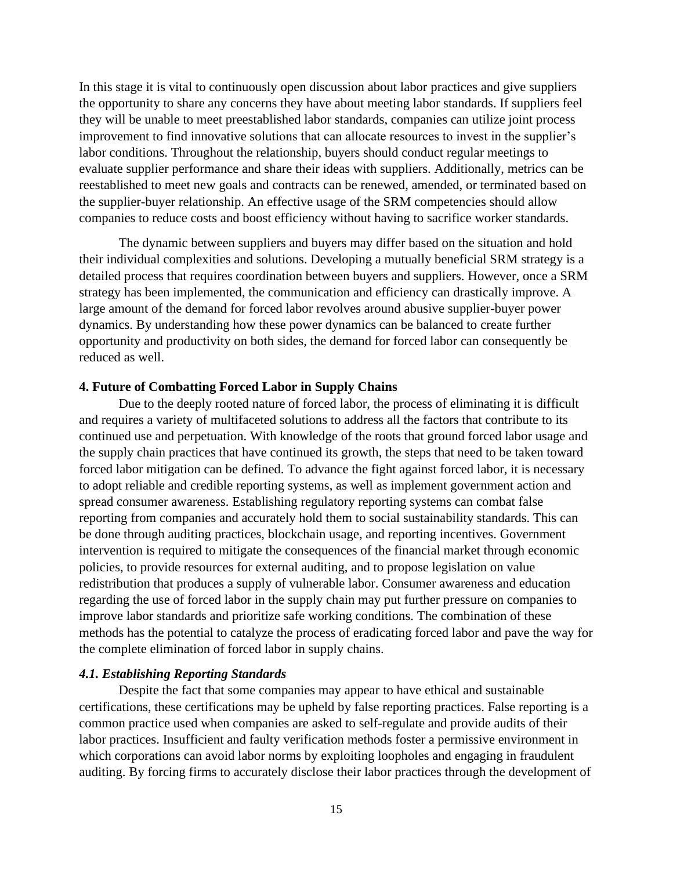In this stage it is vital to continuously open discussion about labor practices and give suppliers the opportunity to share any concerns they have about meeting labor standards. If suppliers feel they will be unable to meet preestablished labor standards, companies can utilize joint process improvement to find innovative solutions that can allocate resources to invest in the supplier's labor conditions. Throughout the relationship, buyers should conduct regular meetings to evaluate supplier performance and share their ideas with suppliers. Additionally, metrics can be reestablished to meet new goals and contracts can be renewed, amended, or terminated based on the supplier-buyer relationship. An effective usage of the SRM competencies should allow companies to reduce costs and boost efficiency without having to sacrifice worker standards.

The dynamic between suppliers and buyers may differ based on the situation and hold their individual complexities and solutions. Developing a mutually beneficial SRM strategy is a detailed process that requires coordination between buyers and suppliers. However, once a SRM strategy has been implemented, the communication and efficiency can drastically improve. A large amount of the demand for forced labor revolves around abusive supplier-buyer power dynamics. By understanding how these power dynamics can be balanced to create further opportunity and productivity on both sides, the demand for forced labor can consequently be reduced as well.

#### **4. Future of Combatting Forced Labor in Supply Chains**

Due to the deeply rooted nature of forced labor, the process of eliminating it is difficult and requires a variety of multifaceted solutions to address all the factors that contribute to its continued use and perpetuation. With knowledge of the roots that ground forced labor usage and the supply chain practices that have continued its growth, the steps that need to be taken toward forced labor mitigation can be defined. To advance the fight against forced labor, it is necessary to adopt reliable and credible reporting systems, as well as implement government action and spread consumer awareness. Establishing regulatory reporting systems can combat false reporting from companies and accurately hold them to social sustainability standards. This can be done through auditing practices, blockchain usage, and reporting incentives. Government intervention is required to mitigate the consequences of the financial market through economic policies, to provide resources for external auditing, and to propose legislation on value redistribution that produces a supply of vulnerable labor. Consumer awareness and education regarding the use of forced labor in the supply chain may put further pressure on companies to improve labor standards and prioritize safe working conditions. The combination of these methods has the potential to catalyze the process of eradicating forced labor and pave the way for the complete elimination of forced labor in supply chains.

#### *4.1. Establishing Reporting Standards*

Despite the fact that some companies may appear to have ethical and sustainable certifications, these certifications may be upheld by false reporting practices. False reporting is a common practice used when companies are asked to self-regulate and provide audits of their labor practices. Insufficient and faulty verification methods foster a permissive environment in which corporations can avoid labor norms by exploiting loopholes and engaging in fraudulent auditing. By forcing firms to accurately disclose their labor practices through the development of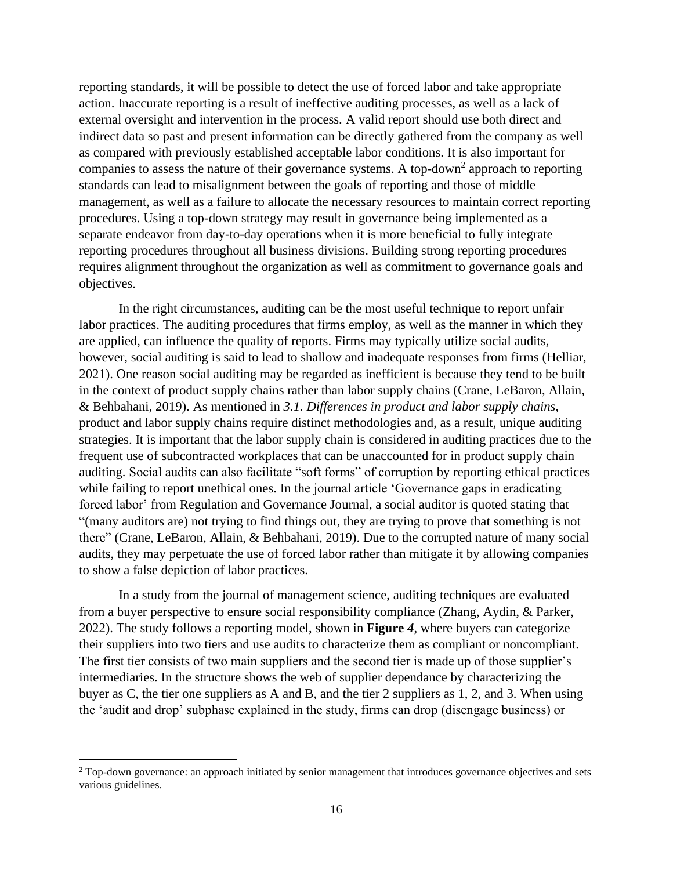reporting standards, it will be possible to detect the use of forced labor and take appropriate action. Inaccurate reporting is a result of ineffective auditing processes, as well as a lack of external oversight and intervention in the process. A valid report should use both direct and indirect data so past and present information can be directly gathered from the company as well as compared with previously established acceptable labor conditions. It is also important for companies to assess the nature of their governance systems. A top-down<sup>2</sup> approach to reporting standards can lead to misalignment between the goals of reporting and those of middle management, as well as a failure to allocate the necessary resources to maintain correct reporting procedures. Using a top-down strategy may result in governance being implemented as a separate endeavor from day-to-day operations when it is more beneficial to fully integrate reporting procedures throughout all business divisions. Building strong reporting procedures requires alignment throughout the organization as well as commitment to governance goals and objectives.

In the right circumstances, auditing can be the most useful technique to report unfair labor practices. The auditing procedures that firms employ, as well as the manner in which they are applied, can influence the quality of reports. Firms may typically utilize social audits, however, social auditing is said to lead to shallow and inadequate responses from firms (Helliar, 2021). One reason social auditing may be regarded as inefficient is because they tend to be built in the context of product supply chains rather than labor supply chains (Crane, LeBaron, Allain, & Behbahani, 2019). As mentioned in *3.1. Differences in product and labor supply chains*, product and labor supply chains require distinct methodologies and, as a result, unique auditing strategies. It is important that the labor supply chain is considered in auditing practices due to the frequent use of subcontracted workplaces that can be unaccounted for in product supply chain auditing. Social audits can also facilitate "soft forms" of corruption by reporting ethical practices while failing to report unethical ones. In the journal article 'Governance gaps in eradicating forced labor' from Regulation and Governance Journal, a social auditor is quoted stating that "(many auditors are) not trying to find things out, they are trying to prove that something is not there" (Crane, LeBaron, Allain, & Behbahani, 2019). Due to the corrupted nature of many social audits, they may perpetuate the use of forced labor rather than mitigate it by allowing companies to show a false depiction of labor practices.

In a study from the journal of management science, auditing techniques are evaluated from a buyer perspective to ensure social responsibility compliance (Zhang, Aydin, & Parker, 2022). The study follows a reporting model, shown in **[Figure](#page-17-0)** *4*, where buyers can categorize their suppliers into two tiers and use audits to characterize them as compliant or noncompliant. The first tier consists of two main suppliers and the second tier is made up of those supplier's intermediaries. In the structure shows the web of supplier dependance by characterizing the buyer as C, the tier one suppliers as A and B, and the tier 2 suppliers as 1, 2, and 3. When using the 'audit and drop' subphase explained in the study, firms can drop (disengage business) or

<sup>&</sup>lt;sup>2</sup> Top-down governance: an approach initiated by senior management that introduces governance objectives and sets various guidelines.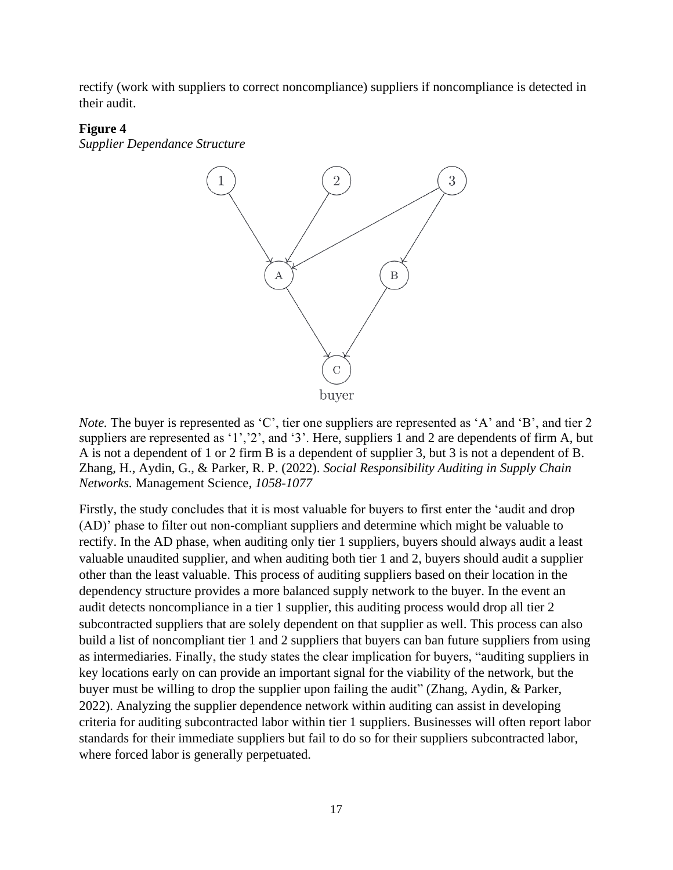rectify (work with suppliers to correct noncompliance) suppliers if noncompliance is detected in their audit.

#### <span id="page-17-0"></span>**Figure 4**

*Supplier Dependance Structure*



*Note.* The buyer is represented as 'C', tier one suppliers are represented as 'A' and 'B', and tier 2 suppliers are represented as '1', '2', and '3'. Here, suppliers 1 and 2 are dependents of firm A, but A is not a dependent of 1 or 2 firm B is a dependent of supplier 3, but 3 is not a dependent of B. Zhang, H., Aydin, G., & Parker, R. P. (2022). *Social Responsibility Auditing in Supply Chain Networks.* Management Science*, 1058-1077*

Firstly, the study concludes that it is most valuable for buyers to first enter the 'audit and drop (AD)' phase to filter out non-compliant suppliers and determine which might be valuable to rectify. In the AD phase, when auditing only tier 1 suppliers, buyers should always audit a least valuable unaudited supplier, and when auditing both tier 1 and 2, buyers should audit a supplier other than the least valuable. This process of auditing suppliers based on their location in the dependency structure provides a more balanced supply network to the buyer. In the event an audit detects noncompliance in a tier 1 supplier, this auditing process would drop all tier 2 subcontracted suppliers that are solely dependent on that supplier as well. This process can also build a list of noncompliant tier 1 and 2 suppliers that buyers can ban future suppliers from using as intermediaries. Finally, the study states the clear implication for buyers, "auditing suppliers in key locations early on can provide an important signal for the viability of the network, but the buyer must be willing to drop the supplier upon failing the audit" (Zhang, Aydin, & Parker, 2022). Analyzing the supplier dependence network within auditing can assist in developing criteria for auditing subcontracted labor within tier 1 suppliers. Businesses will often report labor standards for their immediate suppliers but fail to do so for their suppliers subcontracted labor, where forced labor is generally perpetuated.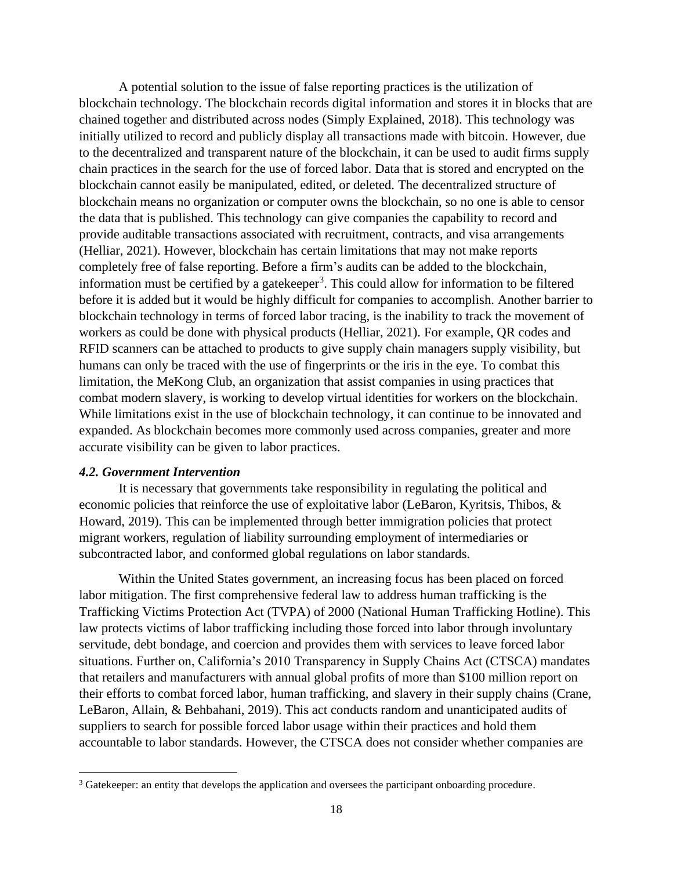A potential solution to the issue of false reporting practices is the utilization of blockchain technology. The blockchain records digital information and stores it in blocks that are chained together and distributed across nodes (Simply Explained, 2018). This technology was initially utilized to record and publicly display all transactions made with bitcoin. However, due to the decentralized and transparent nature of the blockchain, it can be used to audit firms supply chain practices in the search for the use of forced labor. Data that is stored and encrypted on the blockchain cannot easily be manipulated, edited, or deleted. The decentralized structure of blockchain means no organization or computer owns the blockchain, so no one is able to censor the data that is published. This technology can give companies the capability to record and provide auditable transactions associated with recruitment, contracts, and visa arrangements (Helliar, 2021). However, blockchain has certain limitations that may not make reports completely free of false reporting. Before a firm's audits can be added to the blockchain, information must be certified by a gatekeeper<sup>3</sup>. This could allow for information to be filtered before it is added but it would be highly difficult for companies to accomplish. Another barrier to blockchain technology in terms of forced labor tracing, is the inability to track the movement of workers as could be done with physical products (Helliar, 2021). For example, QR codes and RFID scanners can be attached to products to give supply chain managers supply visibility, but humans can only be traced with the use of fingerprints or the iris in the eye. To combat this limitation, the MeKong Club, an organization that assist companies in using practices that combat modern slavery, is working to develop virtual identities for workers on the blockchain. While limitations exist in the use of blockchain technology, it can continue to be innovated and expanded. As blockchain becomes more commonly used across companies, greater and more accurate visibility can be given to labor practices.

## *4.2. Government Intervention*

It is necessary that governments take responsibility in regulating the political and economic policies that reinforce the use of exploitative labor (LeBaron, Kyritsis, Thibos, & Howard, 2019). This can be implemented through better immigration policies that protect migrant workers, regulation of liability surrounding employment of intermediaries or subcontracted labor, and conformed global regulations on labor standards.

Within the United States government, an increasing focus has been placed on forced labor mitigation. The first comprehensive federal law to address human trafficking is the Trafficking Victims Protection Act (TVPA) of 2000 (National Human Trafficking Hotline). This law protects victims of labor trafficking including those forced into labor through involuntary servitude, debt bondage, and coercion and provides them with services to leave forced labor situations. Further on, California's 2010 Transparency in Supply Chains Act (CTSCA) mandates that retailers and manufacturers with annual global profits of more than \$100 million report on their efforts to combat forced labor, human trafficking, and slavery in their supply chains (Crane, LeBaron, Allain, & Behbahani, 2019). This act conducts random and unanticipated audits of suppliers to search for possible forced labor usage within their practices and hold them accountable to labor standards. However, the CTSCA does not consider whether companies are

<sup>&</sup>lt;sup>3</sup> Gatekeeper: an entity that develops the application and oversees the participant onboarding procedure.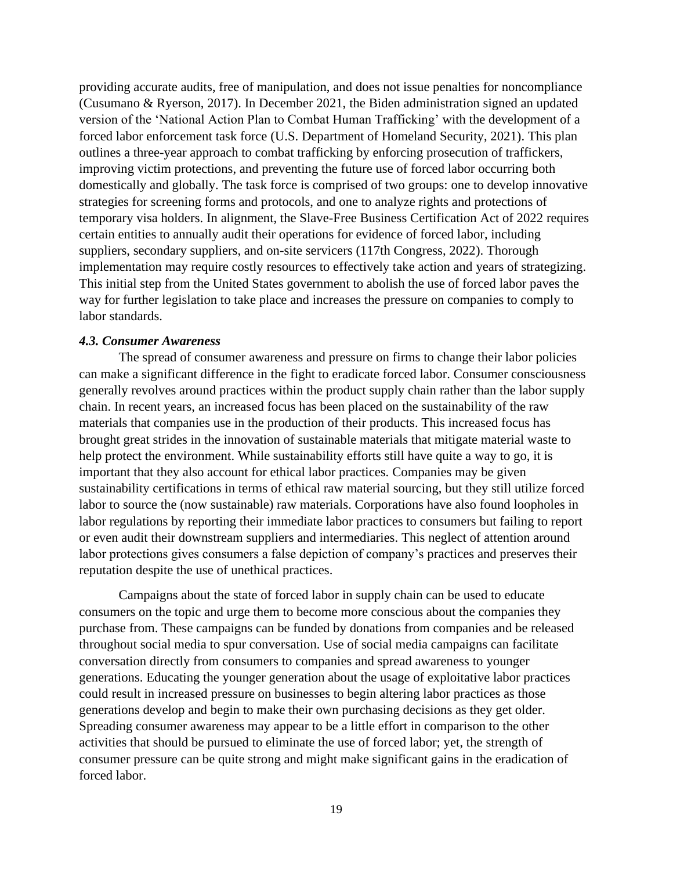providing accurate audits, free of manipulation, and does not issue penalties for noncompliance (Cusumano & Ryerson, 2017). In December 2021, the Biden administration signed an updated version of the 'National Action Plan to Combat Human Trafficking' with the development of a forced labor enforcement task force (U.S. Department of Homeland Security, 2021). This plan outlines a three-year approach to combat trafficking by enforcing prosecution of traffickers, improving victim protections, and preventing the future use of forced labor occurring both domestically and globally. The task force is comprised of two groups: one to develop innovative strategies for screening forms and protocols, and one to analyze rights and protections of temporary visa holders. In alignment, the Slave-Free Business Certification Act of 2022 requires certain entities to annually audit their operations for evidence of forced labor, including suppliers, secondary suppliers, and on-site servicers (117th Congress, 2022). Thorough implementation may require costly resources to effectively take action and years of strategizing. This initial step from the United States government to abolish the use of forced labor paves the way for further legislation to take place and increases the pressure on companies to comply to labor standards.

#### *4.3. Consumer Awareness*

The spread of consumer awareness and pressure on firms to change their labor policies can make a significant difference in the fight to eradicate forced labor. Consumer consciousness generally revolves around practices within the product supply chain rather than the labor supply chain. In recent years, an increased focus has been placed on the sustainability of the raw materials that companies use in the production of their products. This increased focus has brought great strides in the innovation of sustainable materials that mitigate material waste to help protect the environment. While sustainability efforts still have quite a way to go, it is important that they also account for ethical labor practices. Companies may be given sustainability certifications in terms of ethical raw material sourcing, but they still utilize forced labor to source the (now sustainable) raw materials. Corporations have also found loopholes in labor regulations by reporting their immediate labor practices to consumers but failing to report or even audit their downstream suppliers and intermediaries. This neglect of attention around labor protections gives consumers a false depiction of company's practices and preserves their reputation despite the use of unethical practices.

Campaigns about the state of forced labor in supply chain can be used to educate consumers on the topic and urge them to become more conscious about the companies they purchase from. These campaigns can be funded by donations from companies and be released throughout social media to spur conversation. Use of social media campaigns can facilitate conversation directly from consumers to companies and spread awareness to younger generations. Educating the younger generation about the usage of exploitative labor practices could result in increased pressure on businesses to begin altering labor practices as those generations develop and begin to make their own purchasing decisions as they get older. Spreading consumer awareness may appear to be a little effort in comparison to the other activities that should be pursued to eliminate the use of forced labor; yet, the strength of consumer pressure can be quite strong and might make significant gains in the eradication of forced labor.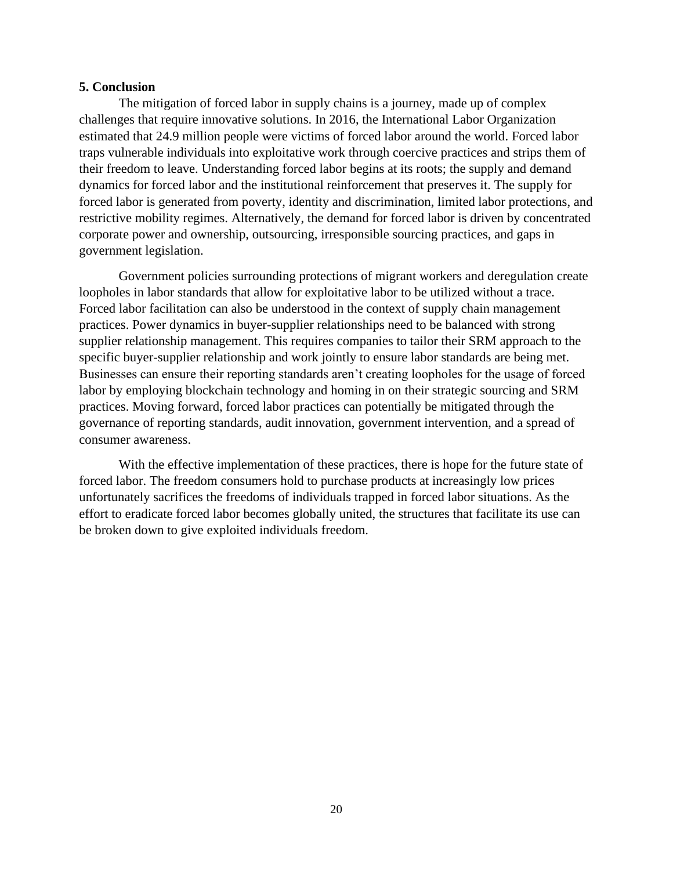#### **5. Conclusion**

The mitigation of forced labor in supply chains is a journey, made up of complex challenges that require innovative solutions. In 2016, the International Labor Organization estimated that 24.9 million people were victims of forced labor around the world. Forced labor traps vulnerable individuals into exploitative work through coercive practices and strips them of their freedom to leave. Understanding forced labor begins at its roots; the supply and demand dynamics for forced labor and the institutional reinforcement that preserves it. The supply for forced labor is generated from poverty, identity and discrimination, limited labor protections, and restrictive mobility regimes. Alternatively, the demand for forced labor is driven by concentrated corporate power and ownership, outsourcing, irresponsible sourcing practices, and gaps in government legislation.

Government policies surrounding protections of migrant workers and deregulation create loopholes in labor standards that allow for exploitative labor to be utilized without a trace. Forced labor facilitation can also be understood in the context of supply chain management practices. Power dynamics in buyer-supplier relationships need to be balanced with strong supplier relationship management. This requires companies to tailor their SRM approach to the specific buyer-supplier relationship and work jointly to ensure labor standards are being met. Businesses can ensure their reporting standards aren't creating loopholes for the usage of forced labor by employing blockchain technology and homing in on their strategic sourcing and SRM practices. Moving forward, forced labor practices can potentially be mitigated through the governance of reporting standards, audit innovation, government intervention, and a spread of consumer awareness.

With the effective implementation of these practices, there is hope for the future state of forced labor. The freedom consumers hold to purchase products at increasingly low prices unfortunately sacrifices the freedoms of individuals trapped in forced labor situations. As the effort to eradicate forced labor becomes globally united, the structures that facilitate its use can be broken down to give exploited individuals freedom.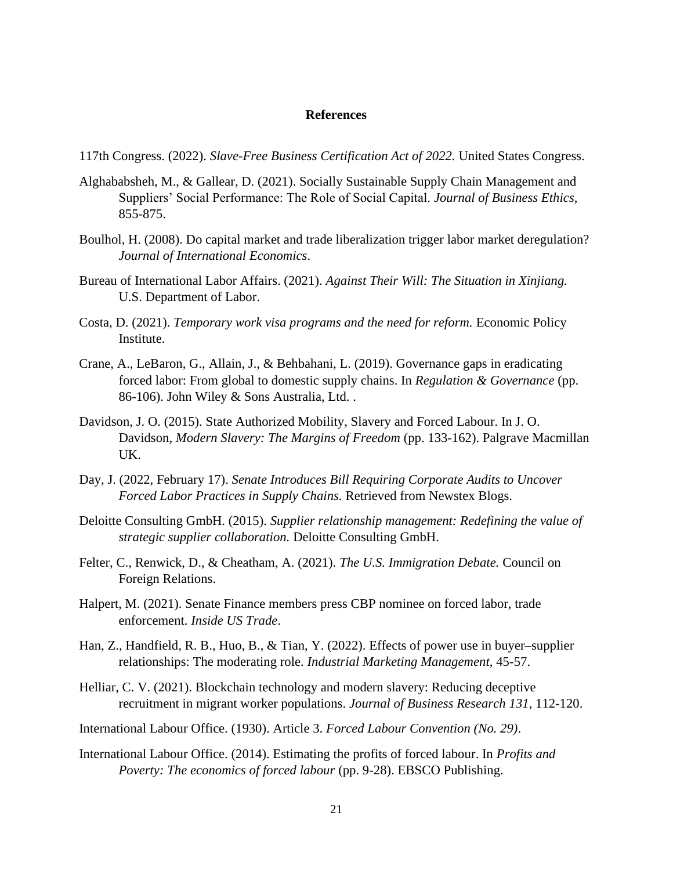#### **References**

117th Congress. (2022). *Slave-Free Business Certification Act of 2022.* United States Congress.

- Alghababsheh, M., & Gallear, D. (2021). Socially Sustainable Supply Chain Management and Suppliers' Social Performance: The Role of Social Capital. *Journal of Business Ethics*, 855-875.
- Boulhol, H. (2008). Do capital market and trade liberalization trigger labor market deregulation? *Journal of International Economics*.
- Bureau of International Labor Affairs. (2021). *Against Their Will: The Situation in Xinjiang.* U.S. Department of Labor.
- Costa, D. (2021). *Temporary work visa programs and the need for reform.* Economic Policy Institute.
- Crane, A., LeBaron, G., Allain, J., & Behbahani, L. (2019). Governance gaps in eradicating forced labor: From global to domestic supply chains. In *Regulation & Governance* (pp. 86-106). John Wiley & Sons Australia, Ltd. .
- Davidson, J. O. (2015). State Authorized Mobility, Slavery and Forced Labour. In J. O. Davidson, *Modern Slavery: The Margins of Freedom* (pp. 133-162). Palgrave Macmillan UK.
- Day, J. (2022, February 17). *Senate Introduces Bill Requiring Corporate Audits to Uncover Forced Labor Practices in Supply Chains.* Retrieved from Newstex Blogs.
- Deloitte Consulting GmbH. (2015). *Supplier relationship management: Redefining the value of strategic supplier collaboration.* Deloitte Consulting GmbH.
- Felter, C., Renwick, D., & Cheatham, A. (2021). *The U.S. Immigration Debate.* Council on Foreign Relations.
- Halpert, M. (2021). Senate Finance members press CBP nominee on forced labor, trade enforcement. *Inside US Trade*.
- Han, Z., Handfield, R. B., Huo, B., & Tian, Y. (2022). Effects of power use in buyer–supplier relationships: The moderating role. *Industrial Marketing Management*, 45-57.
- Helliar, C. V. (2021). Blockchain technology and modern slavery: Reducing deceptive recruitment in migrant worker populations. *Journal of Business Research 131*, 112-120.
- International Labour Office. (1930). Article 3. *Forced Labour Convention (No. 29)*.
- International Labour Office. (2014). Estimating the profits of forced labour. In *Profits and Poverty: The economics of forced labour* (pp. 9-28). EBSCO Publishing.